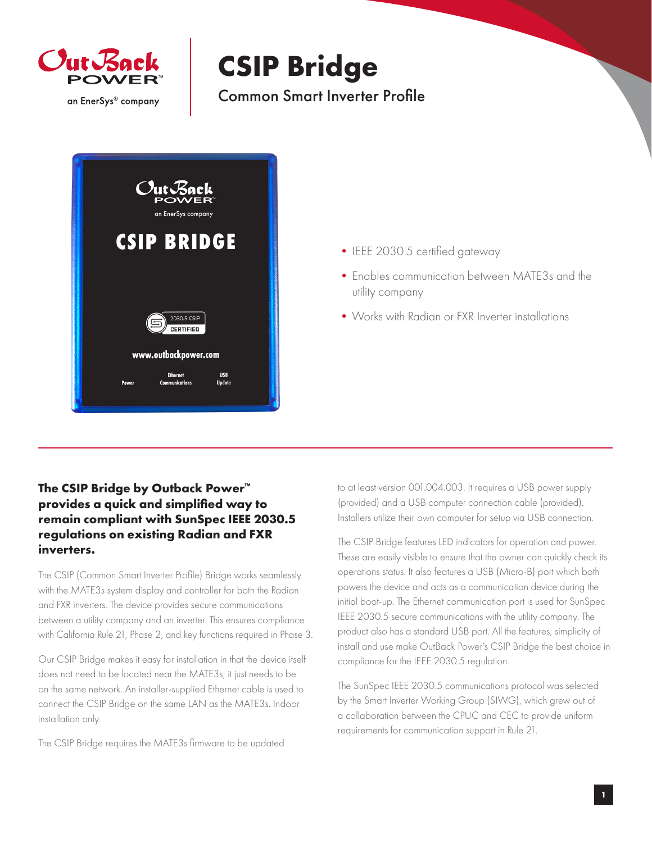

## **CSIP Bridge**

Common Smart Inverter Profile



- IEEE 2030.5 certified gateway
- •Enables communication between MATE3s and the utility company
- •Works with Radian or FXR Inverter installations

## **The CSIP Bridge by Outback Power™ provides a quick and simplified way to remain compliant with SunSpec IEEE 2030.5 regulations on existing Radian and FXR inverters.**

The CSIP (Common Smart Inverter Profile) Bridge works seamlessly with the MATE3s system display and controller for both the Radian and FXR inverters. The device provides secure communications between a utility company and an inverter. This ensures compliance with California Rule 21, Phase 2, and key functions required in Phase 3.

Our CSIP Bridge makes it easy for installation in that the device itself does not need to be located near the MATE3s; it just needs to be on the same network. An installer-supplied Ethernet cable is used to connect the CSIP Bridge on the same LAN as the MATE3s. Indoor installation only.

The CSIP Bridge requires the MATE3s firmware to be updated

to at least version 001.004.003. It requires a USB power supply (provided) and a USB computer connection cable (provided). Installers utilize their own computer for setup via USB connection.

The CSIP Bridge features LED indicators for operation and power. These are easily visible to ensure that the owner can quickly check its operations status. It also features a USB (Micro-B) port which both powers the device and acts as a communication device during the initial boot-up. The Ethernet communication port is used for SunSpec IEEE 2030.5 secure communications with the utility company. The product also has a standard USB port. All the features, simplicity of install and use make OutBack Power's CSIP Bridge the best choice in compliance for the IEEE 2030.5 regulation.

The SunSpec IEEE 2030.5 communications protocol was selected by the Smart Inverter Working Group (SIWG), which grew out of a collaboration between the CPUC and CEC to provide uniform requirements for communication support in Rule 21.